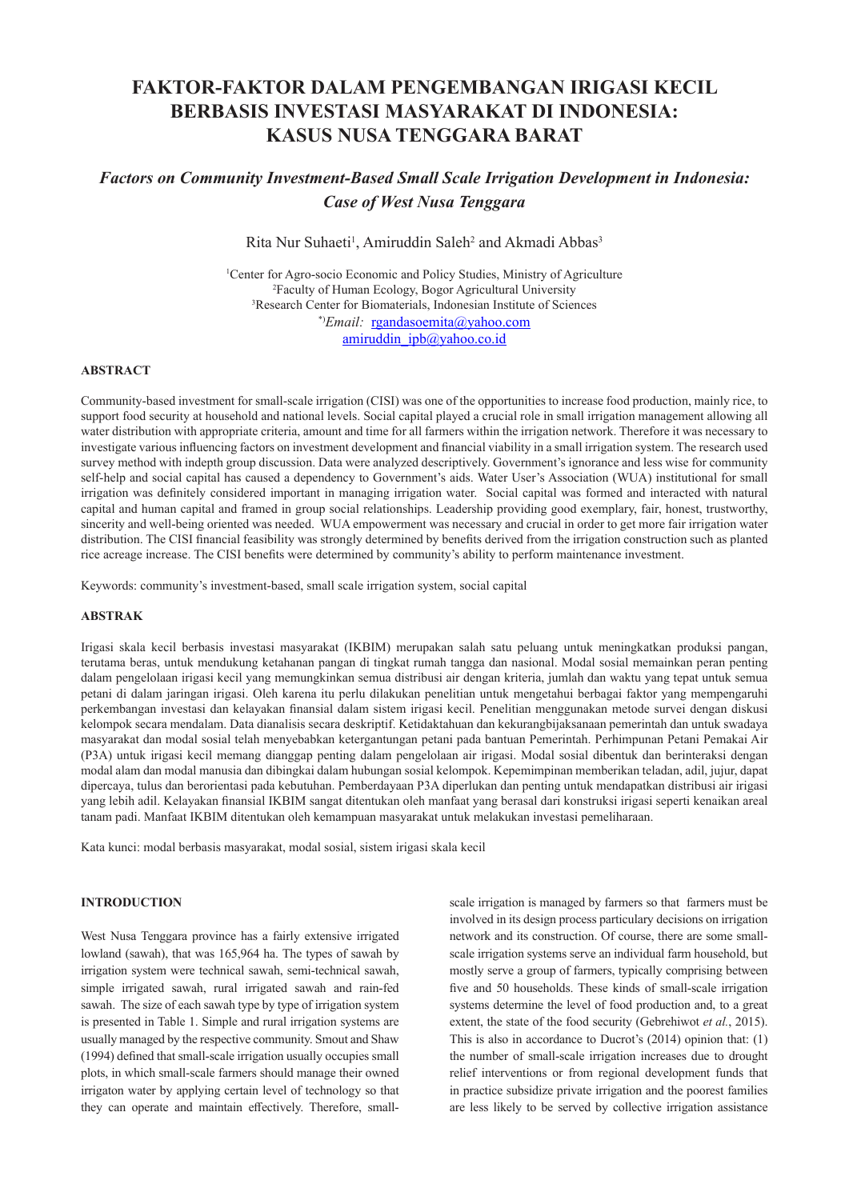# **FAKTOR-FAKTOR DALAM PENGEMBANGAN IRIGASI KECIL BERBASIS INVESTASI MASYARAKAT DI INDONESIA: KASUS NUSA TENGGARA BARAT**

## *Factors on Community Investment-Based Small Scale Irrigation Development in Indonesia: Case of West Nusa Tenggara*

Rita Nur Suhaeti<sup>1</sup>, Amiruddin Saleh<sup>2</sup> and Akmadi Abbas<sup>3</sup>

<sup>1</sup>Center for Agro-socio Economic and Policy Studies, Ministry of Agriculture 2 Faculty of Human Ecology, Bogor Agricultural University 3 Research Center for Biomaterials, Indonesian Institute of Sciences \*)*Email:* rgandasoemita@yahoo.com amiruddin\_ipb@yahoo.co.id

#### **ABSTRACT**

Community-based investment for small-scale irrigation (CISI) was one of the opportunities to increase food production, mainly rice, to support food security at household and national levels. Social capital played a crucial role in small irrigation management allowing all water distribution with appropriate criteria, amount and time for all farmers within the irrigation network. Therefore it was necessary to investigate various influencing factors on investment development and financial viability in a small irrigation system. The research used survey method with indepth group discussion. Data were analyzed descriptively. Government's ignorance and less wise for community self-help and social capital has caused a dependency to Government's aids. Water User's Association (WUA) institutional for small irrigation was definitely considered important in managing irrigation water. Social capital was formed and interacted with natural capital and human capital and framed in group social relationships. Leadership providing good exemplary, fair, honest, trustworthy, sincerity and well-being oriented was needed. WUA empowerment was necessary and crucial in order to get more fair irrigation water distribution. The CISI financial feasibility was strongly determined by benefits derived from the irrigation construction such as planted rice acreage increase. The CISI benefits were determined by community's ability to perform maintenance investment.

Keywords: community's investment-based, small scale irrigation system, social capital

## **ABSTRAK**

Irigasi skala kecil berbasis investasi masyarakat (IKBIM) merupakan salah satu peluang untuk meningkatkan produksi pangan, terutama beras, untuk mendukung ketahanan pangan di tingkat rumah tangga dan nasional. Modal sosial memainkan peran penting dalam pengelolaan irigasi kecil yang memungkinkan semua distribusi air dengan kriteria, jumlah dan waktu yang tepat untuk semua petani di dalam jaringan irigasi. Oleh karena itu perlu dilakukan penelitian untuk mengetahui berbagai faktor yang mempengaruhi perkembangan investasi dan kelayakan finansial dalam sistem irigasi kecil. Penelitian menggunakan metode survei dengan diskusi kelompok secara mendalam. Data dianalisis secara deskriptif. Ketidaktahuan dan kekurangbijaksanaan pemerintah dan untuk swadaya masyarakat dan modal sosial telah menyebabkan ketergantungan petani pada bantuan Pemerintah. Perhimpunan Petani Pemakai Air (P3A) untuk irigasi kecil memang dianggap penting dalam pengelolaan air irigasi. Modal sosial dibentuk dan berinteraksi dengan modal alam dan modal manusia dan dibingkai dalam hubungan sosial kelompok. Kepemimpinan memberikan teladan, adil, jujur, dapat dipercaya, tulus dan berorientasi pada kebutuhan. Pemberdayaan P3A diperlukan dan penting untuk mendapatkan distribusi air irigasi yang lebih adil. Kelayakan finansial IKBIM sangat ditentukan oleh manfaat yang berasal dari konstruksi irigasi seperti kenaikan areal tanam padi. Manfaat IKBIM ditentukan oleh kemampuan masyarakat untuk melakukan investasi pemeliharaan.

Kata kunci: modal berbasis masyarakat, modal sosial, sistem irigasi skala kecil

## **INTRODUCTION**

West Nusa Tenggara province has a fairly extensive irrigated lowland (sawah), that was 165,964 ha. The types of sawah by irrigation system were technical sawah, semi-technical sawah, simple irrigated sawah, rural irrigated sawah and rain-fed sawah. The size of each sawah type by type of irrigation system is presented in Table 1. Simple and rural irrigation systems are usually managed by the respective community. Smout and Shaw (1994) defined that small-scale irrigation usually occupies small plots, in which small-scale farmers should manage their owned irrigaton water by applying certain level of technology so that they can operate and maintain effectively. Therefore, small-

scale irrigation is managed by farmers so that farmers must be involved in its design process particulary decisions on irrigation network and its construction. Of course, there are some smallscale irrigation systems serve an individual farm household, but mostly serve a group of farmers, typically comprising between five and 50 households. These kinds of small-scale irrigation systems determine the level of food production and, to a great extent, the state of the food security (Gebrehiwot *et al.*, 2015). This is also in accordance to Ducrot's (2014) opinion that: (1) the number of small-scale irrigation increases due to drought relief interventions or from regional development funds that in practice subsidize private irrigation and the poorest families are less likely to be served by collective irrigation assistance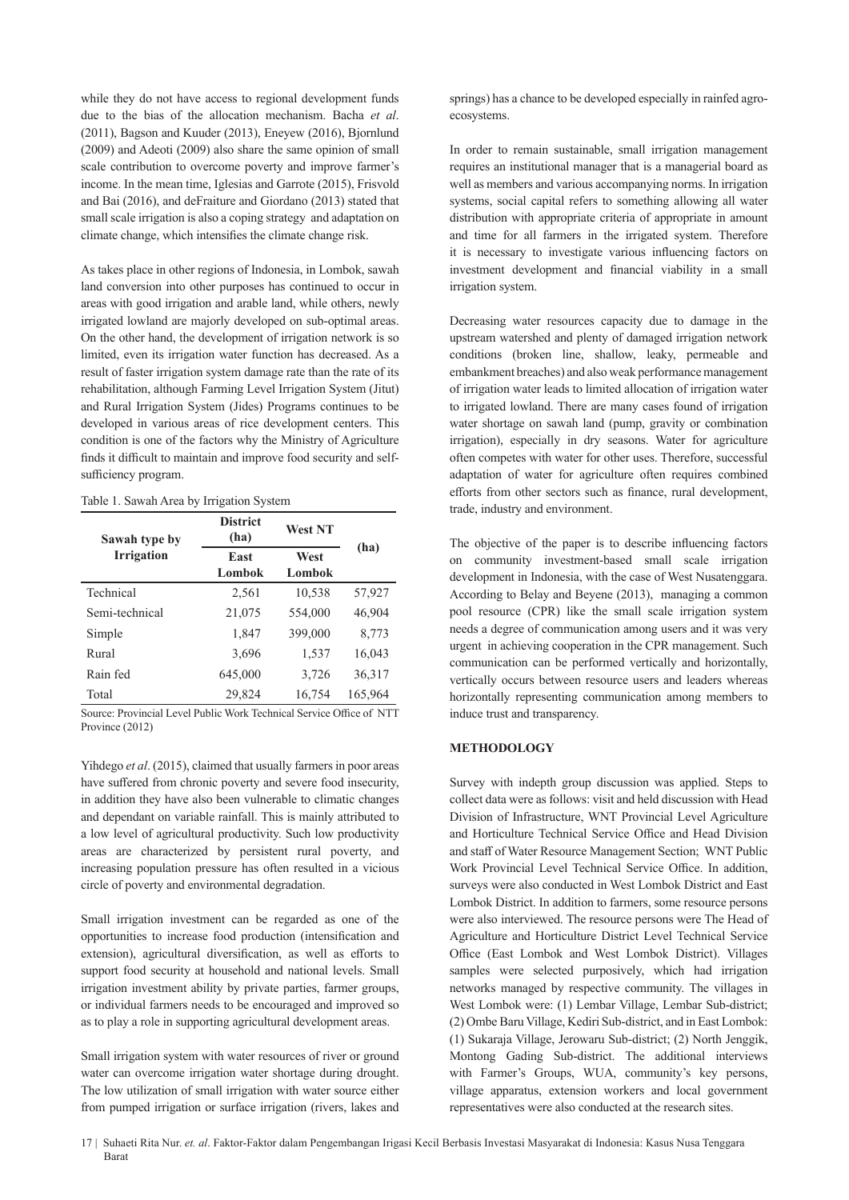while they do not have access to regional development funds due to the bias of the allocation mechanism. Bacha *et al*. (2011), Bagson and Kuuder (2013), Eneyew (2016), Bjornlund (2009) and Adeoti (2009) also share the same opinion of small scale contribution to overcome poverty and improve farmer's income. In the mean time, Iglesias and Garrote (2015), Frisvold and Bai (2016), and deFraiture and Giordano (2013) stated that small scale irrigation is also a coping strategy and adaptation on climate change, which intensifies the climate change risk.

As takes place in other regions of Indonesia, in Lombok, sawah land conversion into other purposes has continued to occur in areas with good irrigation and arable land, while others, newly irrigated lowland are majorly developed on sub-optimal areas. On the other hand, the development of irrigation network is so limited, even its irrigation water function has decreased. As a result of faster irrigation system damage rate than the rate of its rehabilitation, although Farming Level Irrigation System (Jitut) and Rural Irrigation System (Jides) Programs continues to be developed in various areas of rice development centers. This condition is one of the factors why the Ministry of Agriculture finds it difficult to maintain and improve food security and selfsufficiency program.

#### Table 1. Sawah Area by Irrigation System

| Sawah type by     | <b>District</b><br>(ha) | <b>West NT</b> | (ha)    |  |
|-------------------|-------------------------|----------------|---------|--|
| <b>Irrigation</b> | East<br>Lombok          | West<br>Lombok |         |  |
| Technical         | 2,561                   | 10,538         | 57,927  |  |
| Semi-technical    | 21,075                  | 554,000        | 46,904  |  |
| Simple            | 1,847                   | 399,000        | 8,773   |  |
| Rural             | 3,696                   | 1,537          | 16,043  |  |
| Rain fed          | 645,000                 | 3,726          | 36,317  |  |
| Total             | 29.824                  | 16,754         | 165,964 |  |

Source: Provincial Level Public Work Technical Service Office of NTT Province (2012)

Yihdego *et al.* (2015), claimed that usually farmers in poor areas have suffered from chronic poverty and severe food insecurity, in addition they have also been vulnerable to climatic changes and dependant on variable rainfall. This is mainly attributed to a low level of agricultural productivity. Such low productivity areas are characterized by persistent rural poverty, and increasing population pressure has often resulted in a vicious circle of poverty and environmental degradation.

Small irrigation investment can be regarded as one of the opportunities to increase food production (intensification and extension), agricultural diversification, as well as efforts to support food security at household and national levels. Small irrigation investment ability by private parties, farmer groups, or individual farmers needs to be encouraged and improved so as to play a role in supporting agricultural development areas.

Small irrigation system with water resources of river or ground water can overcome irrigation water shortage during drought. The low utilization of small irrigation with water source either from pumped irrigation or surface irrigation (rivers, lakes and springs) has a chance to be developed especially in rainfed agroecosystems.

In order to remain sustainable, small irrigation management requires an institutional manager that is a managerial board as well as members and various accompanying norms. In irrigation systems, social capital refers to something allowing all water distribution with appropriate criteria of appropriate in amount and time for all farmers in the irrigated system. Therefore it is necessary to investigate various influencing factors on investment development and financial viability in a small irrigation system.

Decreasing water resources capacity due to damage in the upstream watershed and plenty of damaged irrigation network conditions (broken line, shallow, leaky, permeable and embankment breaches) and also weak performance management of irrigation water leads to limited allocation of irrigation water to irrigated lowland. There are many cases found of irrigation water shortage on sawah land (pump, gravity or combination irrigation), especially in dry seasons. Water for agriculture often competes with water for other uses. Therefore, successful adaptation of water for agriculture often requires combined efforts from other sectors such as finance, rural development, trade, industry and environment.

The objective of the paper is to describe influencing factors on community investment-based small scale irrigation development in Indonesia, with the case of West Nusatenggara. According to Belay and Beyene (2013), managing a common pool resource (CPR) like the small scale irrigation system needs a degree of communication among users and it was very urgent in achieving cooperation in the CPR management. Such communication can be performed vertically and horizontally, vertically occurs between resource users and leaders whereas horizontally representing communication among members to induce trust and transparency.

#### **METHODOLOGY**

Survey with indepth group discussion was applied. Steps to collect data were as follows: visit and held discussion with Head Division of Infrastructure, WNT Provincial Level Agriculture and Horticulture Technical Service Office and Head Division and staff of Water Resource Management Section; WNT Public Work Provincial Level Technical Service Office. In addition, surveys were also conducted in West Lombok District and East Lombok District. In addition to farmers, some resource persons were also interviewed. The resource persons were The Head of Agriculture and Horticulture District Level Technical Service Office (East Lombok and West Lombok District). Villages samples were selected purposively, which had irrigation networks managed by respective community. The villages in West Lombok were: (1) Lembar Village, Lembar Sub-district; (2) Ombe Baru Village, Kediri Sub-district, and in East Lombok: (1) Sukaraja Village, Jerowaru Sub-district; (2) North Jenggik, Montong Gading Sub-district. The additional interviews with Farmer's Groups, WUA, community's key persons, village apparatus, extension workers and local government representatives were also conducted at the research sites.

<sup>17 |</sup> Suhaeti Rita Nur. *et. al*. Faktor-Faktor dalam Pengembangan Irigasi Kecil Berbasis Investasi Masyarakat di Indonesia: Kasus Nusa Tenggara Barat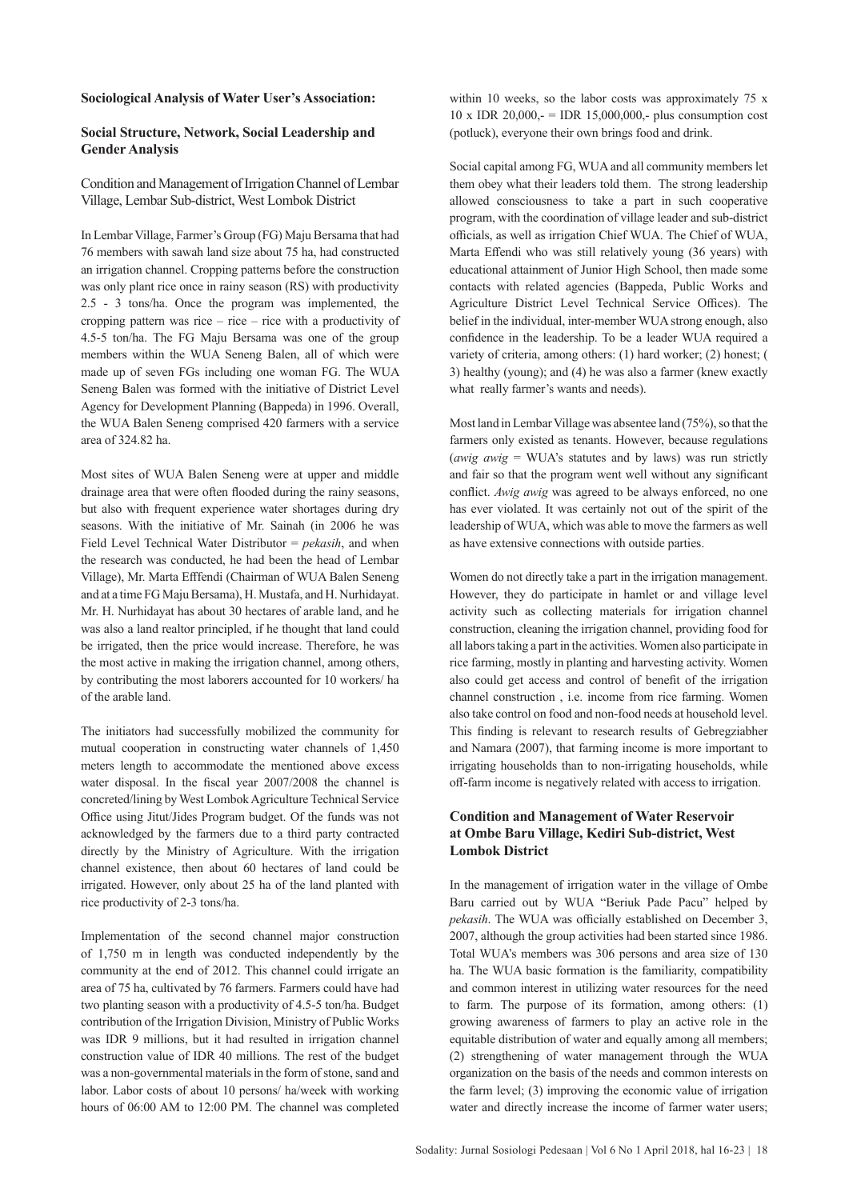#### **Sociological Analysis of Water User's Association:**

## **Social Structure, Network, Social Leadership and Gender Analysis**

Condition and Management of Irrigation Channel of Lembar Village, Lembar Sub-district, West Lombok District

In Lembar Village, Farmer's Group (FG) Maju Bersama that had 76 members with sawah land size about 75 ha, had constructed an irrigation channel. Cropping patterns before the construction was only plant rice once in rainy season (RS) with productivity 2.5 - 3 tons/ha. Once the program was implemented, the cropping pattern was rice – rice – rice with a productivity of 4.5-5 ton/ha. The FG Maju Bersama was one of the group members within the WUA Seneng Balen, all of which were made up of seven FGs including one woman FG. The WUA Seneng Balen was formed with the initiative of District Level Agency for Development Planning (Bappeda) in 1996. Overall, the WUA Balen Seneng comprised 420 farmers with a service area of 324.82 ha.

Most sites of WUA Balen Seneng were at upper and middle drainage area that were often flooded during the rainy seasons, but also with frequent experience water shortages during dry seasons. With the initiative of Mr. Sainah (in 2006 he was Field Level Technical Water Distributor = *pekasih*, and when the research was conducted, he had been the head of Lembar Village), Mr. Marta Efffendi (Chairman of WUA Balen Seneng and at a time FG Maju Bersama), H. Mustafa, and H. Nurhidayat. Mr. H. Nurhidayat has about 30 hectares of arable land, and he was also a land realtor principled, if he thought that land could be irrigated, then the price would increase. Therefore, he was the most active in making the irrigation channel, among others, by contributing the most laborers accounted for 10 workers/ ha of the arable land.

The initiators had successfully mobilized the community for mutual cooperation in constructing water channels of 1,450 meters length to accommodate the mentioned above excess water disposal. In the fiscal year 2007/2008 the channel is concreted/lining by West Lombok Agriculture Technical Service Office using Jitut/Jides Program budget. Of the funds was not acknowledged by the farmers due to a third party contracted directly by the Ministry of Agriculture. With the irrigation channel existence, then about 60 hectares of land could be irrigated. However, only about 25 ha of the land planted with rice productivity of 2-3 tons/ha.

Implementation of the second channel major construction of 1,750 m in length was conducted independently by the community at the end of 2012. This channel could irrigate an area of 75 ha, cultivated by 76 farmers. Farmers could have had two planting season with a productivity of 4.5-5 ton/ha. Budget contribution of the Irrigation Division, Ministry of Public Works was IDR 9 millions, but it had resulted in irrigation channel construction value of IDR 40 millions. The rest of the budget was a non-governmental materials in the form of stone, sand and labor. Labor costs of about 10 persons/ ha/week with working hours of 06:00 AM to 12:00 PM. The channel was completed

within 10 weeks, so the labor costs was approximately 75 x  $10 \times$  IDR  $20,000,$  = IDR 15,000,000,- plus consumption cost (potluck), everyone their own brings food and drink.

Social capital among FG, WUA and all community members let them obey what their leaders told them. The strong leadership allowed consciousness to take a part in such cooperative program, with the coordination of village leader and sub-district officials, as well as irrigation Chief WUA. The Chief of WUA, Marta Effendi who was still relatively young (36 years) with educational attainment of Junior High School, then made some contacts with related agencies (Bappeda, Public Works and Agriculture District Level Technical Service Offices). The belief in the individual, inter-member WUA strong enough, also confidence in the leadership. To be a leader WUA required a variety of criteria, among others: (1) hard worker; (2) honest; ( 3) healthy (young); and (4) he was also a farmer (knew exactly what really farmer's wants and needs).

Most land in Lembar Village was absentee land (75%), so that the farmers only existed as tenants. However, because regulations (*awig awig* = WUA's statutes and by laws) was run strictly and fair so that the program went well without any significant conflict. *Awig awig* was agreed to be always enforced, no one has ever violated. It was certainly not out of the spirit of the leadership of WUA, which was able to move the farmers as well as have extensive connections with outside parties.

Women do not directly take a part in the irrigation management. However, they do participate in hamlet or and village level activity such as collecting materials for irrigation channel construction, cleaning the irrigation channel, providing food for all labors taking a part in the activities. Women also participate in rice farming, mostly in planting and harvesting activity. Women also could get access and control of benefit of the irrigation channel construction , i.e. income from rice farming. Women also take control on food and non-food needs at household level. This finding is relevant to research results of Gebregziabher and Namara (2007), that farming income is more important to irrigating households than to non-irrigating households, while off-farm income is negatively related with access to irrigation.

## **Condition and Management of Water Reservoir at Ombe Baru Village, Kediri Sub-district, West Lombok District**

In the management of irrigation water in the village of Ombe Baru carried out by WUA "Beriuk Pade Pacu" helped by *pekasih*. The WUA was officially established on December 3, 2007, although the group activities had been started since 1986. Total WUA's members was 306 persons and area size of 130 ha. The WUA basic formation is the familiarity, compatibility and common interest in utilizing water resources for the need to farm. The purpose of its formation, among others: (1) growing awareness of farmers to play an active role in the equitable distribution of water and equally among all members; (2) strengthening of water management through the WUA organization on the basis of the needs and common interests on the farm level; (3) improving the economic value of irrigation water and directly increase the income of farmer water users;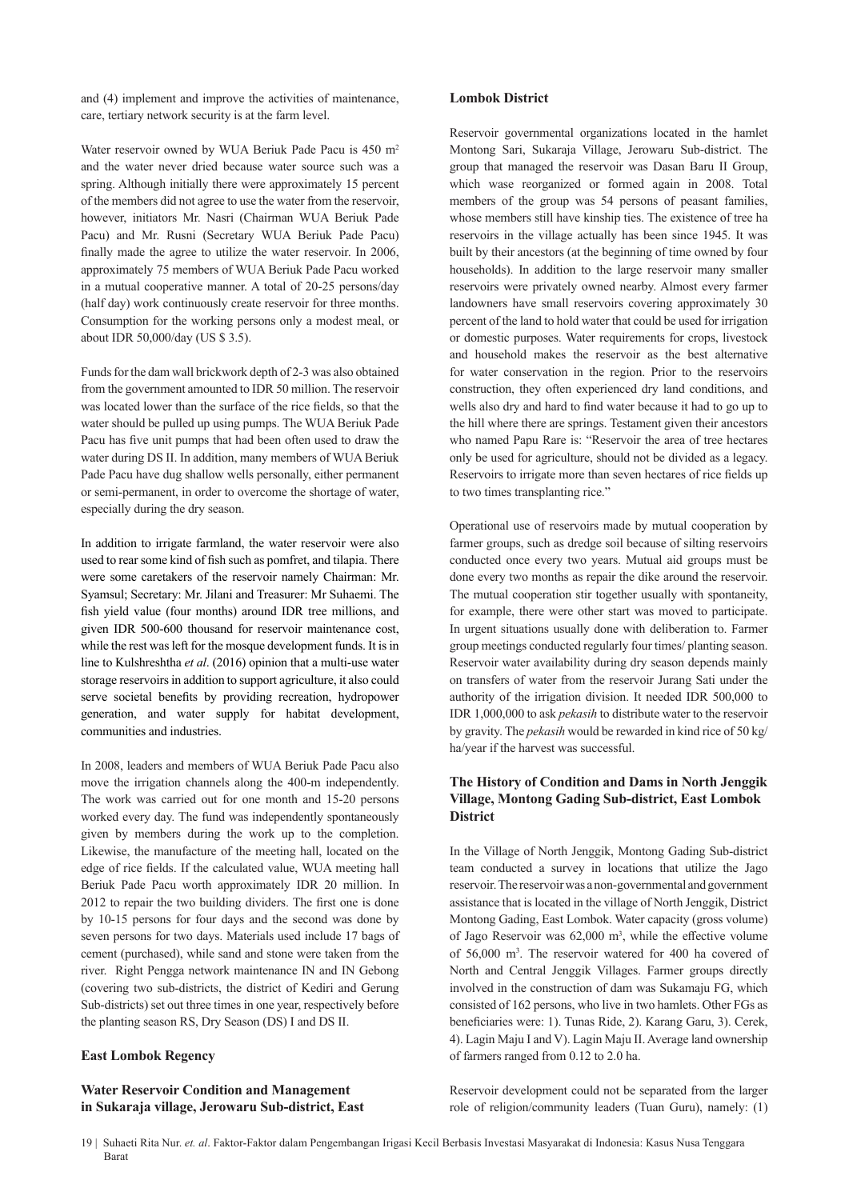and (4) implement and improve the activities of maintenance, care, tertiary network security is at the farm level.

Water reservoir owned by WUA Beriuk Pade Pacu is 450 m<sup>2</sup> and the water never dried because water source such was a spring. Although initially there were approximately 15 percent of the members did not agree to use the water from the reservoir, however, initiators Mr. Nasri (Chairman WUA Beriuk Pade Pacu) and Mr. Rusni (Secretary WUA Beriuk Pade Pacu) finally made the agree to utilize the water reservoir. In 2006, approximately 75 members of WUA Beriuk Pade Pacu worked in a mutual cooperative manner. A total of 20-25 persons/day (half day) work continuously create reservoir for three months. Consumption for the working persons only a modest meal, or about IDR 50,000/day (US \$ 3.5).

Funds for the dam wall brickwork depth of 2-3 was also obtained from the government amounted to IDR 50 million. The reservoir was located lower than the surface of the rice fields, so that the water should be pulled up using pumps. The WUA Beriuk Pade Pacu has five unit pumps that had been often used to draw the water during DS II. In addition, many members of WUA Beriuk Pade Pacu have dug shallow wells personally, either permanent or semi-permanent, in order to overcome the shortage of water, especially during the dry season.

In addition to irrigate farmland, the water reservoir were also used to rear some kind of fish such as pomfret, and tilapia. There were some caretakers of the reservoir namely Chairman: Mr. Syamsul; Secretary: Mr. Jilani and Treasurer: Mr Suhaemi. The fish yield value (four months) around IDR tree millions, and given IDR 500-600 thousand for reservoir maintenance cost, while the rest was left for the mosque development funds. It is in line to Kulshreshtha *et al*. (2016) opinion that a multi-use water storage reservoirs in addition to support agriculture, it also could serve societal benefits by providing recreation, hydropower generation, and water supply for habitat development, communities and industries.

In 2008, leaders and members of WUA Beriuk Pade Pacu also move the irrigation channels along the 400-m independently. The work was carried out for one month and 15-20 persons worked every day. The fund was independently spontaneously given by members during the work up to the completion. Likewise, the manufacture of the meeting hall, located on the edge of rice fields. If the calculated value, WUA meeting hall Beriuk Pade Pacu worth approximately IDR 20 million. In 2012 to repair the two building dividers. The first one is done by 10-15 persons for four days and the second was done by seven persons for two days. Materials used include 17 bags of cement (purchased), while sand and stone were taken from the river. Right Pengga network maintenance IN and IN Gebong (covering two sub-districts, the district of Kediri and Gerung Sub-districts) set out three times in one year, respectively before the planting season RS, Dry Season (DS) I and DS II.

#### **East Lombok Regency**

#### **Water Reservoir Condition and Management in Sukaraja village, Jerowaru Sub-district, East**

#### **Lombok District**

Reservoir governmental organizations located in the hamlet Montong Sari, Sukaraja Village, Jerowaru Sub-district. The group that managed the reservoir was Dasan Baru II Group, which wase reorganized or formed again in 2008. Total members of the group was 54 persons of peasant families, whose members still have kinship ties. The existence of tree ha reservoirs in the village actually has been since 1945. It was built by their ancestors (at the beginning of time owned by four households). In addition to the large reservoir many smaller reservoirs were privately owned nearby. Almost every farmer landowners have small reservoirs covering approximately 30 percent of the land to hold water that could be used for irrigation or domestic purposes. Water requirements for crops, livestock and household makes the reservoir as the best alternative for water conservation in the region. Prior to the reservoirs construction, they often experienced dry land conditions, and wells also dry and hard to find water because it had to go up to the hill where there are springs. Testament given their ancestors who named Papu Rare is: "Reservoir the area of tree hectares only be used for agriculture, should not be divided as a legacy. Reservoirs to irrigate more than seven hectares of rice fields up to two times transplanting rice."

Operational use of reservoirs made by mutual cooperation by farmer groups, such as dredge soil because of silting reservoirs conducted once every two years. Mutual aid groups must be done every two months as repair the dike around the reservoir. The mutual cooperation stir together usually with spontaneity, for example, there were other start was moved to participate. In urgent situations usually done with deliberation to. Farmer group meetings conducted regularly four times/ planting season. Reservoir water availability during dry season depends mainly on transfers of water from the reservoir Jurang Sati under the authority of the irrigation division. It needed IDR 500,000 to IDR 1,000,000 to ask *pekasih* to distribute water to the reservoir by gravity. The *pekasih* would be rewarded in kind rice of 50 kg/ ha/year if the harvest was successful.

## **The History of Condition and Dams in North Jenggik Village, Montong Gading Sub-district, East Lombok District**

In the Village of North Jenggik, Montong Gading Sub-district team conducted a survey in locations that utilize the Jago reservoir. The reservoir was a non-governmental and government assistance that is located in the village of North Jenggik, District Montong Gading, East Lombok. Water capacity (gross volume) of Jago Reservoir was  $62,000$  m<sup>3</sup>, while the effective volume of 56,000 m<sup>3</sup> . The reservoir watered for 400 ha covered of North and Central Jenggik Villages. Farmer groups directly involved in the construction of dam was Sukamaju FG, which consisted of 162 persons, who live in two hamlets. Other FGs as beneficiaries were: 1). Tunas Ride, 2). Karang Garu, 3). Cerek, 4). Lagin Maju I and V). Lagin Maju II. Average land ownership of farmers ranged from 0.12 to 2.0 ha.

Reservoir development could not be separated from the larger role of religion/community leaders (Tuan Guru), namely: (1)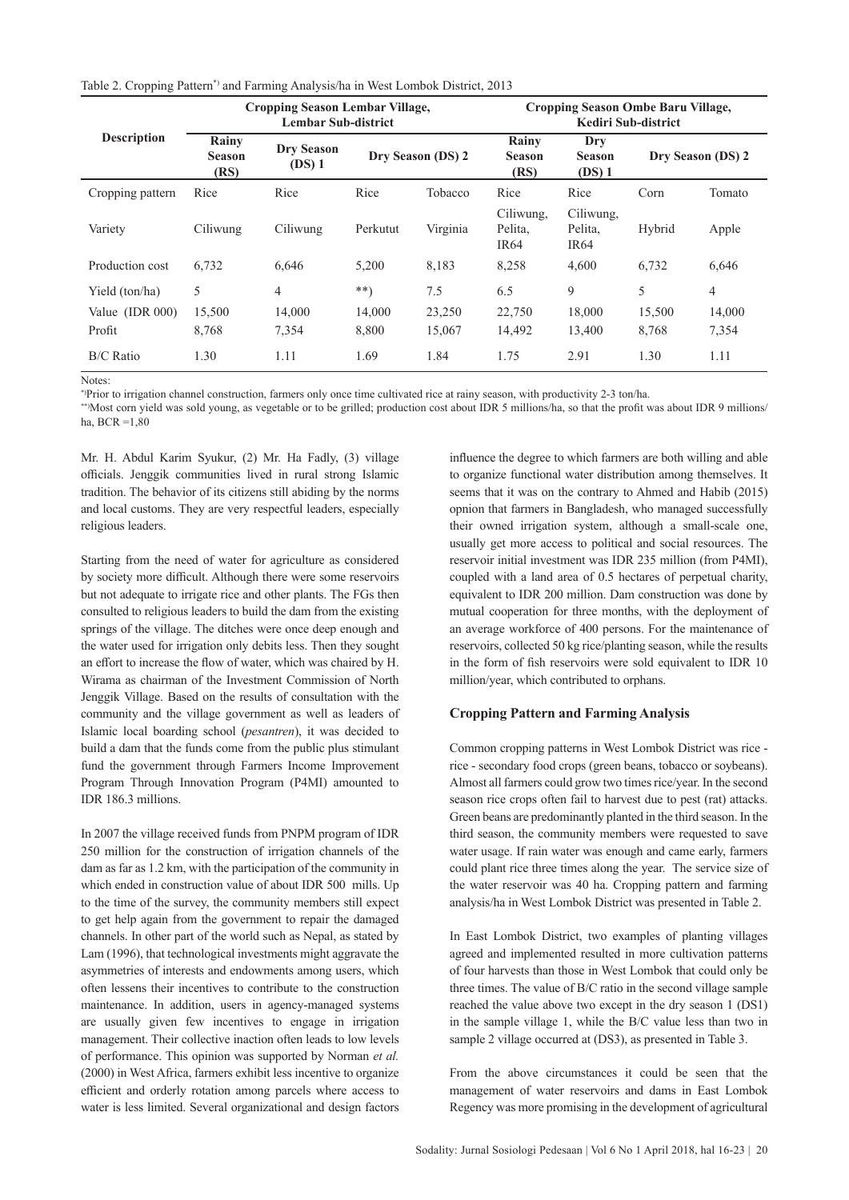|  | Table 2. Cropping Pattern*) and Farming Analysis/ha in West Lombok District, 2013 |  |  |  |  |
|--|-----------------------------------------------------------------------------------|--|--|--|--|
|--|-----------------------------------------------------------------------------------|--|--|--|--|

|                    | <b>Cropping Season Lembar Village,</b><br><b>Lembar Sub-district</b> |                               |          |                   | Cropping Season Ombe Baru Village,<br>Kediri Sub-district |                                          |        |                   |  |
|--------------------|----------------------------------------------------------------------|-------------------------------|----------|-------------------|-----------------------------------------------------------|------------------------------------------|--------|-------------------|--|
| <b>Description</b> | Rainy<br><b>Season</b><br>(RS)                                       | <b>Dry Season</b><br>$(DS)$ 1 |          | Dry Season (DS) 2 | Rainy<br><b>Season</b><br>(RS)                            | Dry<br><b>Season</b><br>$(DS)$ 1         |        | Dry Season (DS) 2 |  |
| Cropping pattern   | Rice                                                                 | Rice                          | Rice     | Tobacco           | Rice                                                      | Rice                                     | Corn   | Tomato            |  |
| Variety            | Ciliwung                                                             | Ciliwung                      | Perkutut | Virginia          | Ciliwung,<br>Pelita,<br><b>IR64</b>                       | Ciliwung,<br>Pelita,<br>IR <sub>64</sub> | Hybrid | Apple             |  |
| Production cost    | 6.732                                                                | 6.646                         | 5,200    | 8,183             | 8,258                                                     | 4,600                                    | 6,732  | 6,646             |  |
| Yield (ton/ha)     | 5                                                                    | $\overline{4}$                | $***)$   | 7.5               | 6.5                                                       | 9                                        | 5      | $\overline{4}$    |  |
| Value $(IDR 000)$  | 15,500                                                               | 14,000                        | 14,000   | 23,250            | 22,750                                                    | 18,000                                   | 15,500 | 14,000            |  |
| Profit             | 8,768                                                                | 7,354                         | 8,800    | 15,067            | 14,492                                                    | 13,400                                   | 8,768  | 7,354             |  |
| <b>B/C</b> Ratio   | 1.30                                                                 | 1.11                          | 1.69     | 1.84              | 1.75                                                      | 2.91                                     | 1.30   | 1.11              |  |

Notes:

\*)Prior to irrigation channel construction, farmers only once time cultivated rice at rainy season, with productivity 2-3 ton/ha.

\*\*)Most corn yield was sold young, as vegetable or to be grilled; production cost about IDR 5 millions/ha, so that the profit was about IDR 9 millions/ ha,  $RCR = 1,80$ 

Mr. H. Abdul Karim Syukur, (2) Mr. Ha Fadly, (3) village officials. Jenggik communities lived in rural strong Islamic tradition. The behavior of its citizens still abiding by the norms and local customs. They are very respectful leaders, especially religious leaders.

Starting from the need of water for agriculture as considered by society more difficult. Although there were some reservoirs but not adequate to irrigate rice and other plants. The FGs then consulted to religious leaders to build the dam from the existing springs of the village. The ditches were once deep enough and the water used for irrigation only debits less. Then they sought an effort to increase the flow of water, which was chaired by H. Wirama as chairman of the Investment Commission of North Jenggik Village. Based on the results of consultation with the community and the village government as well as leaders of Islamic local boarding school (*pesantren*), it was decided to build a dam that the funds come from the public plus stimulant fund the government through Farmers Income Improvement Program Through Innovation Program (P4MI) amounted to IDR 186.3 millions.

In 2007 the village received funds from PNPM program of IDR 250 million for the construction of irrigation channels of the dam as far as 1.2 km, with the participation of the community in which ended in construction value of about IDR 500 mills. Up to the time of the survey, the community members still expect to get help again from the government to repair the damaged channels. In other part of the world such as Nepal, as stated by Lam (1996), that technological investments might aggravate the asymmetries of interests and endowments among users, which often lessens their incentives to contribute to the construction maintenance. In addition, users in agency-managed systems are usually given few incentives to engage in irrigation management. Their collective inaction often leads to low levels of performance. This opinion was supported by Norman *et al.* (2000) in West Africa, farmers exhibit less incentive to organize efficient and orderly rotation among parcels where access to water is less limited. Several organizational and design factors

influence the degree to which farmers are both willing and able to organize functional water distribution among themselves. It seems that it was on the contrary to Ahmed and Habib (2015) opnion that farmers in Bangladesh, who managed successfully their owned irrigation system, although a small-scale one, usually get more access to political and social resources. The reservoir initial investment was IDR 235 million (from P4MI), coupled with a land area of 0.5 hectares of perpetual charity, equivalent to IDR 200 million. Dam construction was done by mutual cooperation for three months, with the deployment of an average workforce of 400 persons. For the maintenance of reservoirs, collected 50 kg rice/planting season, while the results in the form of fish reservoirs were sold equivalent to IDR 10 million/year, which contributed to orphans.

#### **Cropping Pattern and Farming Analysis**

Common cropping patterns in West Lombok District was rice rice - secondary food crops (green beans, tobacco or soybeans). Almost all farmers could grow two times rice/year. In the second season rice crops often fail to harvest due to pest (rat) attacks. Green beans are predominantly planted in the third season. In the third season, the community members were requested to save water usage. If rain water was enough and came early, farmers could plant rice three times along the year. The service size of the water reservoir was 40 ha. Cropping pattern and farming analysis/ha in West Lombok District was presented in Table 2.

In East Lombok District, two examples of planting villages agreed and implemented resulted in more cultivation patterns of four harvests than those in West Lombok that could only be three times. The value of B/C ratio in the second village sample reached the value above two except in the dry season 1 (DS1) in the sample village 1, while the B/C value less than two in sample 2 village occurred at (DS3), as presented in Table 3.

From the above circumstances it could be seen that the management of water reservoirs and dams in East Lombok Regency was more promising in the development of agricultural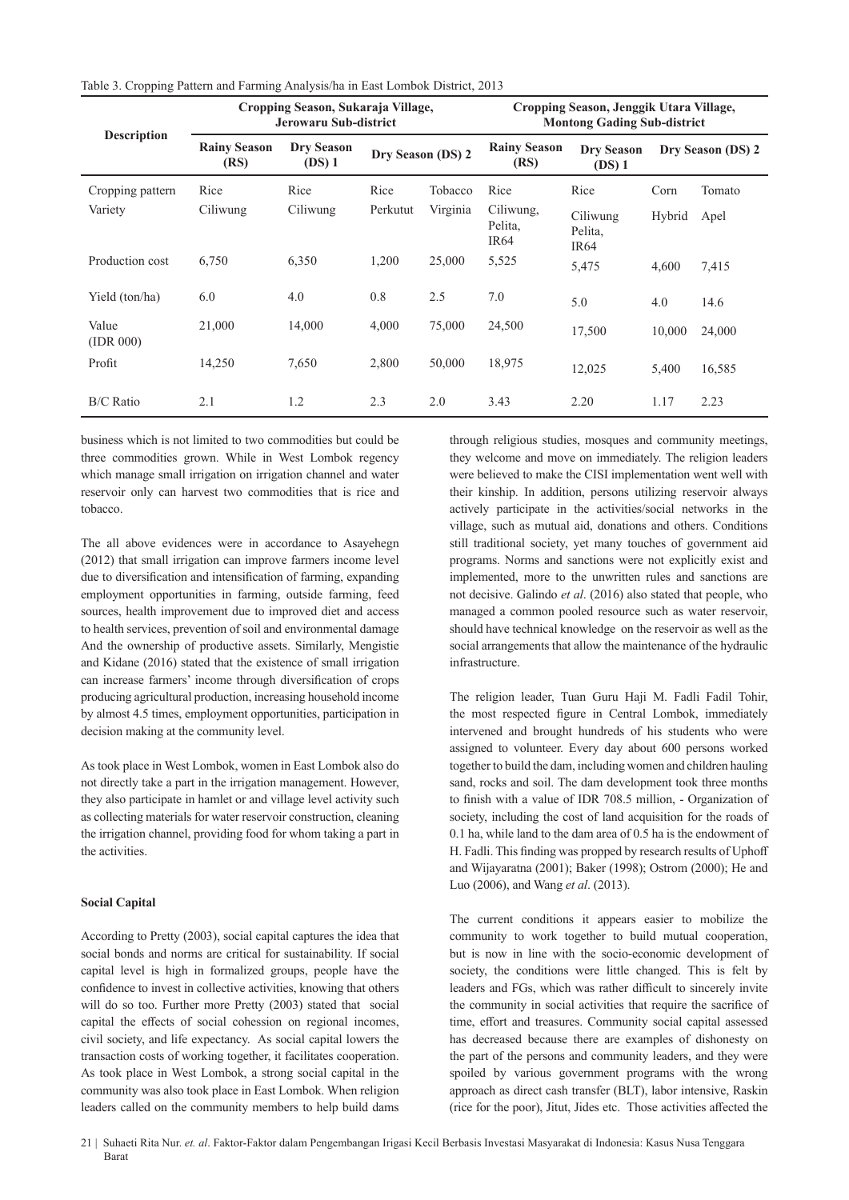| Table 3. Cropping Pattern and Farming Analysis/ha in East Lombok District, 2013 |  |  |  |  |  |  |  |  |  |  |  |
|---------------------------------------------------------------------------------|--|--|--|--|--|--|--|--|--|--|--|
|---------------------------------------------------------------------------------|--|--|--|--|--|--|--|--|--|--|--|

|                    | Cropping Season, Sukaraja Village,<br>Jerowaru Sub-district |                             |                   |          | Cropping Season, Jenggik Utara Village,<br><b>Montong Gading Sub-district</b> |                                         |        |                   |
|--------------------|-------------------------------------------------------------|-----------------------------|-------------------|----------|-------------------------------------------------------------------------------|-----------------------------------------|--------|-------------------|
| <b>Description</b> | <b>Rainy Season</b><br>(RS)                                 | <b>Dry Season</b><br>(DS) 1 | Dry Season (DS) 2 |          | <b>Rainy Season</b><br>(RS)                                                   | <b>Dry Season</b><br>$(DS)$ 1           |        | Dry Season (DS) 2 |
| Cropping pattern   | Rice                                                        | Rice                        | Rice              | Tobacco  | Rice                                                                          | Rice                                    | Corn   | Tomato            |
| Variety            | Ciliwung                                                    | Ciliwung                    | Perkutut          | Virginia | Ciliwung,<br>Pelita,<br>IR <sub>64</sub>                                      | Ciliwung<br>Pelita,<br>IR <sub>64</sub> | Hybrid | Apel              |
| Production cost    | 6,750                                                       | 6,350                       | 1,200             | 25,000   | 5,525                                                                         | 5,475                                   | 4,600  | 7,415             |
| Yield (ton/ha)     | 6.0                                                         | 4.0                         | 0.8               | 2.5      | 7.0                                                                           | 5.0                                     | 4.0    | 14.6              |
| Value<br>(IDR 000) | 21,000                                                      | 14,000                      | 4,000             | 75,000   | 24,500                                                                        | 17,500                                  | 10,000 | 24,000            |
| Profit             | 14,250                                                      | 7,650                       | 2,800             | 50,000   | 18,975                                                                        | 12,025                                  | 5,400  | 16,585            |
| <b>B/C</b> Ratio   | 2.1                                                         | 1.2                         | 2.3               | 2.0      | 3.43                                                                          | 2.20                                    | 1.17   | 2.23              |

business which is not limited to two commodities but could be three commodities grown. While in West Lombok regency which manage small irrigation on irrigation channel and water reservoir only can harvest two commodities that is rice and tobacco.

The all above evidences were in accordance to Asayehegn (2012) that small irrigation can improve farmers income level due to diversification and intensification of farming, expanding employment opportunities in farming, outside farming, feed sources, health improvement due to improved diet and access to health services, prevention of soil and environmental damage And the ownership of productive assets. Similarly, Mengistie and Kidane (2016) stated that the existence of small irrigation can increase farmers' income through diversification of crops producing agricultural production, increasing household income by almost 4.5 times, employment opportunities, participation in decision making at the community level.

As took place in West Lombok, women in East Lombok also do not directly take a part in the irrigation management. However, they also participate in hamlet or and village level activity such as collecting materials for water reservoir construction, cleaning the irrigation channel, providing food for whom taking a part in the activities.

#### **Social Capital**

According to Pretty (2003), social capital captures the idea that social bonds and norms are critical for sustainability. If social capital level is high in formalized groups, people have the confidence to invest in collective activities, knowing that others will do so too. Further more Pretty (2003) stated that social capital the effects of social cohession on regional incomes, civil society, and life expectancy. As social capital lowers the transaction costs of working together, it facilitates cooperation. As took place in West Lombok, a strong social capital in the community was also took place in East Lombok. When religion leaders called on the community members to help build dams through religious studies, mosques and community meetings, they welcome and move on immediately. The religion leaders were believed to make the CISI implementation went well with their kinship. In addition, persons utilizing reservoir always actively participate in the activities/social networks in the village, such as mutual aid, donations and others. Conditions still traditional society, yet many touches of government aid programs. Norms and sanctions were not explicitly exist and implemented, more to the unwritten rules and sanctions are not decisive. Galindo *et al*. (2016) also stated that people, who managed a common pooled resource such as water reservoir, should have technical knowledge on the reservoir as well as the social arrangements that allow the maintenance of the hydraulic infrastructure.

The religion leader, Tuan Guru Haii M. Fadli Fadil Tohir, the most respected figure in Central Lombok, immediately intervened and brought hundreds of his students who were assigned to volunteer. Every day about 600 persons worked together to build the dam, including women and children hauling sand, rocks and soil. The dam development took three months to finish with a value of IDR 708.5 million, - Organization of society, including the cost of land acquisition for the roads of 0.1 ha, while land to the dam area of 0.5 ha is the endowment of H. Fadli. This finding was propped by research results of Uphoff and Wijayaratna (2001); Baker (1998); Ostrom (2000); He and Luo (2006), and Wang *et al*. (2013).

The current conditions it appears easier to mobilize the community to work together to build mutual cooperation, but is now in line with the socio-economic development of society, the conditions were little changed. This is felt by leaders and FGs, which was rather difficult to sincerely invite the community in social activities that require the sacrifice of time, effort and treasures. Community social capital assessed has decreased because there are examples of dishonesty on the part of the persons and community leaders, and they were spoiled by various government programs with the wrong approach as direct cash transfer (BLT), labor intensive, Raskin (rice for the poor), Jitut, Jides etc. Those activities affected the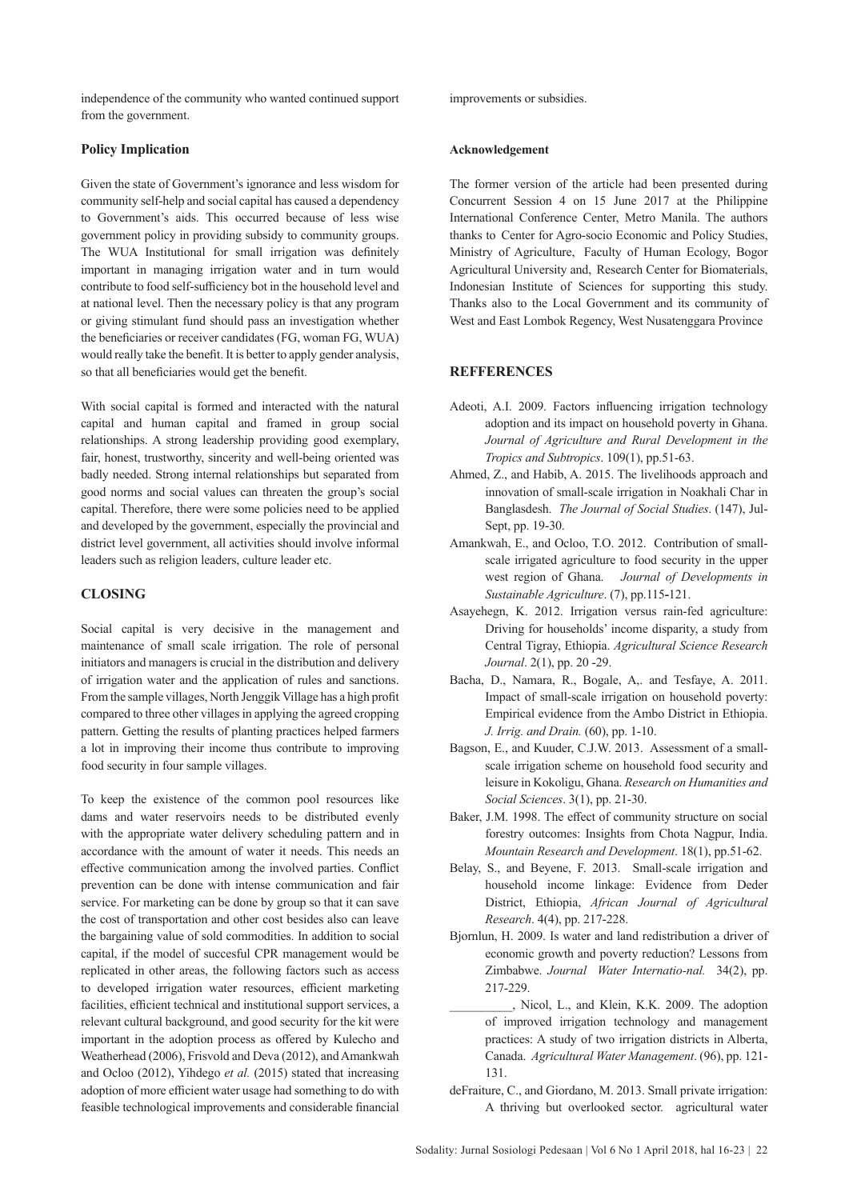independence of the community who wanted continued support from the government.

#### **Policy Implication**

Given the state of Government's ignorance and less wisdom for community self-help and social capital has caused a dependency to Government's aids. This occurred because of less wise government policy in providing subsidy to community groups. The WUA Institutional for small irrigation was definitely important in managing irrigation water and in turn would contribute to food self-sufficiency bot in the household level and at national level. Then the necessary policy is that any program or giving stimulant fund should pass an investigation whether the beneficiaries or receiver candidates (FG, woman FG, WUA) would really take the benefit. It is better to apply gender analysis, so that all beneficiaries would get the benefit.

With social capital is formed and interacted with the natural capital and human capital and framed in group social relationships. A strong leadership providing good exemplary, fair, honest, trustworthy, sincerity and well-being oriented was badly needed. Strong internal relationships but separated from good norms and social values can threaten the group's social capital. Therefore, there were some policies need to be applied and developed by the government, especially the provincial and district level government, all activities should involve informal leaders such as religion leaders, culture leader etc.

## **CLOSING**

Social capital is very decisive in the management and maintenance of small scale irrigation. The role of personal initiators and managers is crucial in the distribution and delivery of irrigation water and the application of rules and sanctions. From the sample villages, North Jenggik Village has a high profit compared to three other villages in applying the agreed cropping pattern. Getting the results of planting practices helped farmers a lot in improving their income thus contribute to improving food security in four sample villages.

To keep the existence of the common pool resources like dams and water reservoirs needs to be distributed evenly with the appropriate water delivery scheduling pattern and in accordance with the amount of water it needs. This needs an effective communication among the involved parties. Conflict prevention can be done with intense communication and fair service. For marketing can be done by group so that it can save the cost of transportation and other cost besides also can leave the bargaining value of sold commodities. In addition to social capital, if the model of succesful CPR management would be replicated in other areas, the following factors such as access to developed irrigation water resources, efficient marketing facilities, efficient technical and institutional support services, a relevant cultural background, and good security for the kit were important in the adoption process as offered by Kulecho and Weatherhead (2006), Frisvold and Deva (2012), and Amankwah and Ocloo (2012), Yihdego *et al.* (2015) stated that increasing adoption of more efficient water usage had something to do with feasible technological improvements and considerable financial

improvements or subsidies.

#### **Acknowledgement**

The former version of the article had been presented during Concurrent Session 4 on 15 June 2017 at the Philippine International Conference Center, Metro Manila. The authors thanks to Center for Agro-socio Economic and Policy Studies, Ministry of Agriculture, Faculty of Human Ecology, Bogor Agricultural University and, Research Center for Biomaterials, Indonesian Institute of Sciences for supporting this study. Thanks also to the Local Government and its community of West and East Lombok Regency, West Nusatenggara Province

#### **REFFERENCES**

- Adeoti, A.I. 2009. Factors influencing irrigation technology adoption and its impact on household poverty in Ghana. *Journal of Agriculture and Rural Development in the Tropics and Subtropics*. 109(1), pp.51-63.
- Ahmed, Z., and Habib, A. 2015. The livelihoods approach and innovation of small-scale irrigation in Noakhali Char in Banglasdesh. *The Journal of Social Studies*. (147), Jul-Sept, pp. 19-30.
- Amankwah, E., and Ocloo, T.O. 2012. Contribution of smallscale irrigated agriculture to food security in the upper west region of Ghana. *Journal of Developments in Sustainable Agriculture*. (7), pp.115**-**121.
- Asayehegn, K. 2012. Irrigation versus rain-fed agriculture: Driving for households' income disparity, a study from Central Tigray, Ethiopia. *Agricultural Science Research Journal*. 2(1), pp. 20 -29.
- Bacha, D., Namara, R., Bogale, A,. and Tesfaye, A. 2011. Impact of small-scale irrigation on household poverty: Empirical evidence from the Ambo District in Ethiopia. *J. Irrig. and Drain.* (60), pp. 1-10.
- Bagson, E., and Kuuder, C.J.W. 2013. Assessment of a smallscale irrigation scheme on household food security and leisure in Kokoligu, Ghana. *Research on Humanities and Social Sciences*. 3(1), pp. 21-30.
- Baker, J.M. 1998. The effect of community structure on social forestry outcomes: Insights from Chota Nagpur, India. *Mountain Research and Development*. 18(1), pp.51-62.
- Belay, S., and Beyene, F. 2013. Small-scale irrigation and household income linkage: Evidence from Deder District, Ethiopia, *African Journal of Agricultural Research*. 4(4), pp. 217-228.
- Bjornlun, H. 2009. Is water and land redistribution a driver of economic growth and poverty reduction? Lessons from Zimbabwe. *Journal Water Internatio-nal.* 34(2), pp. 217-229.
	- \_\_\_\_\_\_\_\_\_\_, Nicol, L., and Klein, K.K. 2009. The adoption of improved irrigation technology and management practices: A study of two irrigation districts in Alberta, Canada. *Agricultural Water Management*. (96), pp. 121- 131.
- deFraiture, C., and Giordano, M. 2013. Small private irrigation: A thriving but overlooked sector. agricultural water